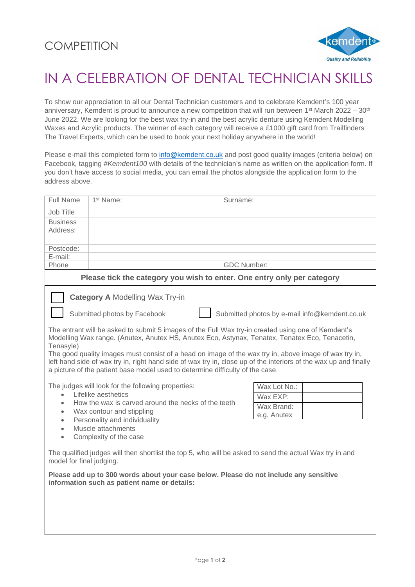

## IN A CELEBRATION OF DENTAL TECHNICIAN SKILLS

To show our appreciation to all our Dental Technician customers and to celebrate Kemdent's 100 year anniversary, Kemdent is proud to announce a new competition that will run between 1<sup>st</sup> March 2022 – 30<sup>th</sup> June 2022. We are looking for the best wax try-in and the best acrylic denture using Kemdent Modelling Waxes and Acrylic products. The winner of each category will receive a £1000 gift card from Trailfinders The Travel Experts, which can be used to book your next holiday anywhere in the world!

Please e-mail this completed form to [info@kemdent.co.uk](mailto:info@kemdent.co.uk) and post good quality images (criteria below) on Facebook, tagging *#Kemdent100* with details of the technician's name as written on the application form. If you don't have access to social media, you can email the photos alongside the application form to the address above.

| Full Name                                                                                                                                                                                    | 1 <sup>st</sup> Name:               | Surname:                                                                                                         |  |  |  |
|----------------------------------------------------------------------------------------------------------------------------------------------------------------------------------------------|-------------------------------------|------------------------------------------------------------------------------------------------------------------|--|--|--|
| Job Title                                                                                                                                                                                    |                                     |                                                                                                                  |  |  |  |
| <b>Business</b>                                                                                                                                                                              |                                     |                                                                                                                  |  |  |  |
| Address:                                                                                                                                                                                     |                                     |                                                                                                                  |  |  |  |
|                                                                                                                                                                                              |                                     |                                                                                                                  |  |  |  |
| Postcode:                                                                                                                                                                                    |                                     |                                                                                                                  |  |  |  |
| E-mail:                                                                                                                                                                                      |                                     |                                                                                                                  |  |  |  |
| Phone                                                                                                                                                                                        |                                     | <b>GDC Number:</b>                                                                                               |  |  |  |
| Please tick the category you wish to enter. One entry only per category                                                                                                                      |                                     |                                                                                                                  |  |  |  |
| <b>Category A Modelling Wax Try-in</b>                                                                                                                                                       |                                     |                                                                                                                  |  |  |  |
| Submitted photos by Facebook<br>Submitted photos by e-mail info@kemdent.co.uk                                                                                                                |                                     |                                                                                                                  |  |  |  |
| The entrant will be asked to submit 5 images of the Full Wax try-in created using one of Kemdent's                                                                                           |                                     |                                                                                                                  |  |  |  |
| Modelling Wax range. (Anutex, Anutex HS, Anutex Eco, Astynax, Tenatex, Tenatex Eco, Tenacetin,<br>Tenasyle)                                                                                  |                                     |                                                                                                                  |  |  |  |
|                                                                                                                                                                                              |                                     | The good quality images must consist of a head on image of the wax try in, above image of wax try in,            |  |  |  |
|                                                                                                                                                                                              |                                     | left hand side of wax try in, right hand side of wax try in, close up of the interiors of the wax up and finally |  |  |  |
| a picture of the patient base model used to determine difficulty of the case.                                                                                                                |                                     |                                                                                                                  |  |  |  |
| The judges will look for the following properties:<br>Wax Lot No.:                                                                                                                           |                                     |                                                                                                                  |  |  |  |
| Lifelike aesthetics<br>$\bullet$<br>How the wax is carved around the necks of the teeth<br>$\bullet$<br>Wax contour and stippling<br>$\bullet$<br>Personality and individuality<br>$\bullet$ |                                     | Wax EXP:                                                                                                         |  |  |  |
|                                                                                                                                                                                              |                                     | Wax Brand:                                                                                                       |  |  |  |
|                                                                                                                                                                                              |                                     | e.g. Anutex                                                                                                      |  |  |  |
|                                                                                                                                                                                              |                                     |                                                                                                                  |  |  |  |
| $\bullet$                                                                                                                                                                                    | Muscle attachments                  |                                                                                                                  |  |  |  |
|                                                                                                                                                                                              | Complexity of the case<br>$\bullet$ |                                                                                                                  |  |  |  |
| The qualified judges will then shortlist the top 5, who will be asked to send the actual Wax try in and<br>model for final judging.                                                          |                                     |                                                                                                                  |  |  |  |
| Please add up to 300 words about your case below. Please do not include any sensitive<br>information such as patient name or details:                                                        |                                     |                                                                                                                  |  |  |  |
|                                                                                                                                                                                              |                                     |                                                                                                                  |  |  |  |
|                                                                                                                                                                                              |                                     |                                                                                                                  |  |  |  |
|                                                                                                                                                                                              |                                     |                                                                                                                  |  |  |  |
|                                                                                                                                                                                              |                                     |                                                                                                                  |  |  |  |
|                                                                                                                                                                                              |                                     |                                                                                                                  |  |  |  |